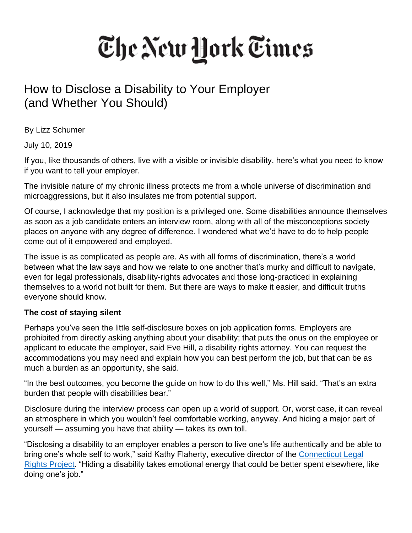# The New York Times

# How to Disclose a Disability to Your Employer (and Whether You Should)

By Lizz Schumer

July 10, 2019

If you, like thousands of others, live with a visible or invisible disability, here's what you need to know if you want to tell your employer.

The invisible nature of my chronic illness protects me from a whole universe of discrimination and microaggressions, but it also insulates me from potential support.

Of course, I acknowledge that my position is a privileged one. Some disabilities announce themselves as soon as a job candidate enters an interview room, along with all of the misconceptions society places on anyone with any degree of difference. I wondered what we'd have to do to help people come out of it empowered and employed.

The issue is as complicated as people are. As with all forms of discrimination, there's a world between what the law says and how we relate to one another that's murky and difficult to navigate, even for legal professionals, disability-rights advocates and those long-practiced in explaining themselves to a world not built for them. But there are ways to make it easier, and difficult truths everyone should know.

# **The cost of staying silent**

Perhaps you've seen the little self-disclosure boxes on job application forms. Employers are prohibited from directly asking anything about your disability; that puts the onus on the employee or applicant to educate the employer, said Eve Hill, a disability rights attorney. You can request the accommodations you may need and explain how you can best perform the job, but that can be as much a burden as an opportunity, she said.

"In the best outcomes, you become the guide on how to do this well," Ms. Hill said. "That's an extra burden that people with disabilities bear."

Disclosure during the interview process can open up a world of support. Or, worst case, it can reveal an atmosphere in which you wouldn't feel comfortable working, anyway. And hiding a major part of yourself — assuming you have that ability — takes its own toll.

"Disclosing a disability to an employer enables a person to live one's life authentically and be able to bring one's whole self to work," said Kathy Flaherty, executive director of the [Connecticut Legal](https://www.clrp.org/)  [Rights Project.](https://www.clrp.org/) "Hiding a disability takes emotional energy that could be better spent elsewhere, like doing one's job."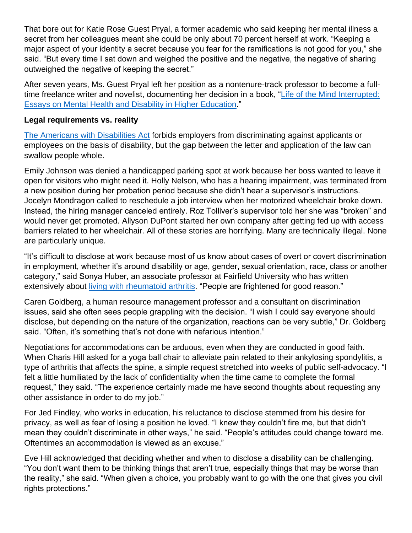That bore out for Katie Rose Guest Pryal, a former academic who said keeping her mental illness a secret from her colleagues meant she could be only about 70 percent herself at work. "Keeping a major aspect of your identity a secret because you fear for the ramifications is not good for you," she said. "But every time I sat down and weighed the positive and the negative, the negative of sharing outweighed the negative of keeping the secret."

After seven years, Ms. Guest Pryal left her position as a nontenure-track professor to become a fulltime freelance writer and novelist, documenting her decision in a book, ["Life of the Mind Interrupted:](https://bluecrowpublishing.com/team/life-of-the-mind-interrupted-essays-on-mental-health-and-disability-in-higher-education/)  [Essays on Mental Health and Disability in Higher Education.](https://bluecrowpublishing.com/team/life-of-the-mind-interrupted-essays-on-mental-health-and-disability-in-higher-education/)"

#### **Legal requirements vs. reality**

[The Americans with Disabilities Act](https://www.ada.gov/employment.htm) forbids employers from discriminating against applicants or employees on the basis of disability, but the gap between the letter and application of the law can swallow people whole.

Emily Johnson was denied a handicapped parking spot at work because her boss wanted to leave it open for visitors who might need it. Holly Nelson, who has a hearing impairment, was terminated from a new position during her probation period because she didn't hear a supervisor's instructions. Jocelyn Mondragon called to reschedule a job interview when her motorized wheelchair broke down. Instead, the hiring manager canceled entirely. Roz Tolliver's supervisor told her she was "broken" and would never get promoted. Allyson DuPont started her own company after getting fed up with access barriers related to her wheelchair. All of these stories are horrifying. Many are technically illegal. None are particularly unique.

"It's difficult to disclose at work because most of us know about cases of overt or covert discrimination in employment, whether it's around disability or age, gender, sexual orientation, race, class or another category," said Sonya Huber, an associate professor at Fairfield University who has written extensively about [living with rheumatoid arthritis.](https://www.nebraskapress.unl.edu/nebraska/9780803299917/) "People are frightened for good reason."

Caren Goldberg, a human resource management professor and a consultant on discrimination issues, said she often sees people grappling with the decision. "I wish I could say everyone should disclose, but depending on the nature of the organization, reactions can be very subtle," Dr. Goldberg said. "Often, it's something that's not done with nefarious intention."

Negotiations for accommodations can be arduous, even when they are conducted in good faith. When Charis Hill asked for a yoga ball chair to alleviate pain related to their ankylosing spondylitis, a type of arthritis that affects the spine, a simple request stretched into weeks of public self-advocacy. "I felt a little humiliated by the lack of confidentiality when the time came to complete the formal request," they said. "The experience certainly made me have second thoughts about requesting any other assistance in order to do my job."

For Jed Findley, who works in education, his reluctance to disclose stemmed from his desire for privacy, as well as fear of losing a position he loved. "I knew they couldn't fire me, but that didn't mean they couldn't discriminate in other ways," he said. "People's attitudes could change toward me. Oftentimes an accommodation is viewed as an excuse."

Eve Hill acknowledged that deciding whether and when to disclose a disability can be challenging. "You don't want them to be thinking things that aren't true, especially things that may be worse than the reality," she said. "When given a choice, you probably want to go with the one that gives you civil rights protections."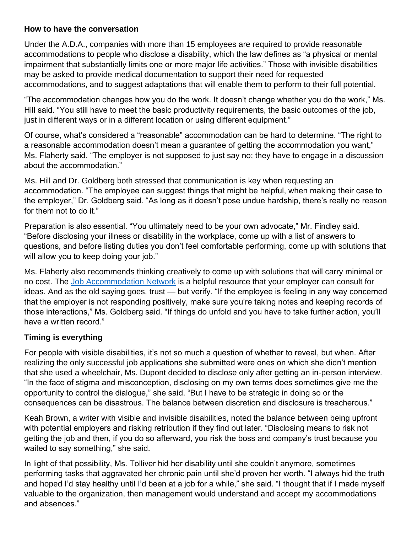### **How to have the conversation**

Under the A.D.A., companies with more than 15 employees are required to provide reasonable accommodations to people who disclose a disability, which the law defines as "a physical or mental impairment that substantially limits one or more major life activities." Those with invisible disabilities may be asked to provide medical documentation to support their need for requested accommodations, and to suggest adaptations that will enable them to perform to their full potential.

"The accommodation changes how you do the work. It doesn't change whether you do the work," Ms. Hill said. "You still have to meet the basic productivity requirements, the basic outcomes of the job, just in different ways or in a different location or using different equipment."

Of course, what's considered a "reasonable" accommodation can be hard to determine. "The right to a reasonable accommodation doesn't mean a guarantee of getting the accommodation you want," Ms. Flaherty said. "The employer is not supposed to just say no; they have to engage in a discussion about the accommodation."

Ms. Hill and Dr. Goldberg both stressed that communication is key when requesting an accommodation. "The employee can suggest things that might be helpful, when making their case to the employer," Dr. Goldberg said. "As long as it doesn't pose undue hardship, there's really no reason for them not to do it."

Preparation is also essential. "You ultimately need to be your own advocate," Mr. Findley said. "Before disclosing your illness or disability in the workplace, come up with a list of answers to questions, and before listing duties you don't feel comfortable performing, come up with solutions that will allow you to keep doing your job."

Ms. Flaherty also recommends thinking creatively to come up with solutions that will carry minimal or no cost. The [Job Accommodation Network](https://askjan.org/) is a helpful resource that your employer can consult for ideas. And as the old saying goes, trust - but verify. "If the employee is feeling in any way concerned that the employer is not responding positively, make sure you're taking notes and keeping records of those interactions," Ms. Goldberg said. "If things do unfold and you have to take further action, you'll have a written record."

# **Timing is everything**

For people with visible disabilities, it's not so much a question of whether to reveal, but when. After realizing the only successful job applications she submitted were ones on which she didn't mention that she used a wheelchair, Ms. Dupont decided to disclose only after getting an in-person interview. "In the face of stigma and misconception, disclosing on my own terms does sometimes give me the opportunity to control the dialogue," she said. "But I have to be strategic in doing so or the consequences can be disastrous. The balance between discretion and disclosure is treacherous."

Keah Brown, a writer with visible and invisible disabilities, noted the balance between being upfront with potential employers and risking retribution if they find out later. "Disclosing means to risk not getting the job and then, if you do so afterward, you risk the boss and company's trust because you waited to say something," she said.

In light of that possibility, Ms. Tolliver hid her disability until she couldn't anymore, sometimes performing tasks that aggravated her chronic pain until she'd proven her worth. "I always hid the truth and hoped I'd stay healthy until I'd been at a job for a while," she said. "I thought that if I made myself valuable to the organization, then management would understand and accept my accommodations and absences."